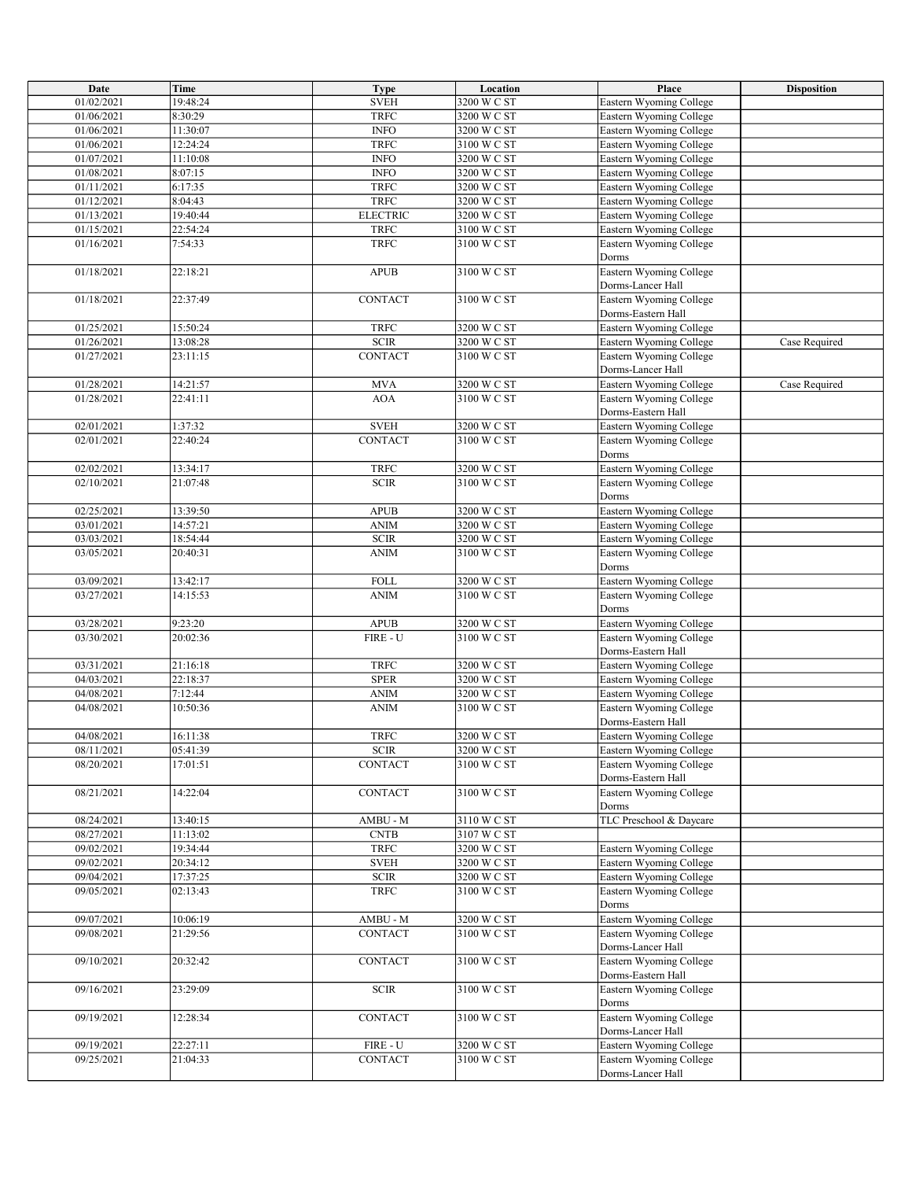| Date       | <b>Time</b> | <b>Type</b>                    | Location    | Place                          | <b>Disposition</b> |
|------------|-------------|--------------------------------|-------------|--------------------------------|--------------------|
| 01/02/2021 | 19:48:24    | <b>SVEH</b>                    | 3200 W C ST | Eastern Wyoming College        |                    |
|            |             |                                |             |                                |                    |
| 01/06/2021 | 8:30:29     | <b>TRFC</b>                    | 3200 W C ST | Eastern Wyoming College        |                    |
| 01/06/2021 | 11:30:07    | <b>INFO</b>                    | 3200 W C ST | Eastern Wyoming College        |                    |
| 01/06/2021 | 12:24:24    | <b>TRFC</b>                    | 3100 W C ST | Eastern Wyoming College        |                    |
| 01/07/2021 | 11:10:08    | $\ensuremath{\mathsf{INFO}}$   | 3200 W C ST | Eastern Wyoming College        |                    |
| 01/08/2021 | 8:07:15     | <b>INFO</b>                    | 3200 W C ST | Eastern Wyoming College        |                    |
| 01/11/2021 | 6:17:35     | <b>TRFC</b>                    | 3200 W C ST | Eastern Wyoming College        |                    |
| 01/12/2021 | 8:04:43     | <b>TRFC</b>                    | 3200 W C ST | Eastern Wyoming College        |                    |
|            | 19:40:44    | <b>ELECTRIC</b>                | 3200 W C ST |                                |                    |
| 01/13/2021 |             |                                |             | Eastern Wyoming College        |                    |
| 01/15/2021 | 22:54:24    | <b>TRFC</b>                    | 3100 W C ST | Eastern Wyoming College        |                    |
| 01/16/2021 | 7:54:33     | <b>TRFC</b>                    | 3100 W C ST | Eastern Wyoming College        |                    |
|            |             |                                |             | Dorms                          |                    |
| 01/18/2021 | 22:18:21    | <b>APUB</b>                    | 3100 W C ST | <b>Eastern Wyoming College</b> |                    |
|            |             |                                |             | Dorms-Lancer Hall              |                    |
| 01/18/2021 | 22:37:49    | CONTACT                        | 3100 W C ST | Eastern Wyoming College        |                    |
|            |             |                                |             | Dorms-Eastern Hall             |                    |
| 01/25/2021 | 15:50:24    | <b>TRFC</b>                    | 3200 W C ST | Eastern Wyoming College        |                    |
| 01/26/2021 | 13:08:28    | $\mbox{{\sc SCR}}$             | 3200 W C ST | Eastern Wyoming College        | Case Required      |
|            |             |                                |             |                                |                    |
| 01/27/2021 | 23:11:15    | CONTACT                        | 3100 W C ST | Eastern Wyoming College        |                    |
|            |             |                                |             | Dorms-Lancer Hall              |                    |
| 01/28/2021 | 14:21:57    | <b>MVA</b>                     | 3200 W C ST | Eastern Wyoming College        | Case Required      |
| 01/28/2021 | 22:41:11    | <b>AOA</b>                     | 3100 W C ST | Eastern Wyoming College        |                    |
|            |             |                                |             | Dorms-Eastern Hall             |                    |
| 02/01/2021 | 1:37:32     | <b>SVEH</b>                    | 3200 W C ST | Eastern Wyoming College        |                    |
| 02/01/2021 | 22:40:24    | <b>CONTACT</b>                 | 3100 W C ST | Eastern Wyoming College        |                    |
|            |             |                                |             | Dorms                          |                    |
|            |             |                                |             |                                |                    |
| 02/02/2021 | 13:34:17    | <b>TRFC</b>                    | 3200 W C ST | Eastern Wyoming College        |                    |
| 02/10/2021 | 21:07:48    | $\mbox{{\sc SCR}}$             | 3100 W C ST | Eastern Wyoming College        |                    |
|            |             |                                |             | Dorms                          |                    |
| 02/25/2021 | 13:39:50    | <b>APUB</b>                    | 3200 W C ST | Eastern Wyoming College        |                    |
| 03/01/2021 | 14:57:21    | <b>ANIM</b>                    | 3200 W C ST | Eastern Wyoming College        |                    |
| 03/03/2021 | 18:54:44    | $\mbox{{\sc SCR}}$             | 3200 W C ST | Eastern Wyoming College        |                    |
| 03/05/2021 | 20:40:31    | <b>ANIM</b>                    | 3100 W C ST | Eastern Wyoming College        |                    |
|            |             |                                |             | Dorms                          |                    |
|            |             | <b>FOLL</b>                    |             |                                |                    |
| 03/09/2021 | 13:42:17    |                                | 3200 W C ST | Eastern Wyoming College        |                    |
| 03/27/2021 | 14:15:53    | <b>ANIM</b>                    | 3100 W C ST | Eastern Wyoming College        |                    |
|            |             |                                |             | Dorms                          |                    |
| 03/28/2021 | 9:23:20     | APUB                           | 3200 W C ST | Eastern Wyoming College        |                    |
| 03/30/2021 | 20:02:36    | FIRE - U                       | 3100 W C ST | Eastern Wyoming College        |                    |
|            |             |                                |             | Dorms-Eastern Hall             |                    |
| 03/31/2021 | 21:16:18    | <b>TRFC</b>                    | 3200 W C ST | Eastern Wyoming College        |                    |
| 04/03/2021 | 22:18:37    | <b>SPER</b>                    | 3200 W C ST | Eastern Wyoming College        |                    |
| 04/08/2021 | 7:12:44     | <b>ANIM</b>                    | 3200 W C ST | Eastern Wyoming College        |                    |
| 04/08/2021 | 10:50:36    | <b>ANIM</b>                    | 3100 W C ST | Eastern Wyoming College        |                    |
|            |             |                                |             |                                |                    |
|            |             |                                |             | Dorms-Eastern Hall             |                    |
| 04/08/2021 | 16:11:38    | <b>TRFC</b>                    | 3200 W C ST | Eastern Wyoming College        |                    |
| 08/11/2021 | 05:41:39    | <b>SCIR</b>                    | 3200 W C ST | Eastern Wyoming College        |                    |
| 08/20/2021 | 17:01:51    | <b>CONTACT</b>                 | 3100 W C ST | Eastern Wyoming College        |                    |
|            |             |                                |             | Dorms-Eastern Hall             |                    |
| 08/21/2021 | 14:22:04    | CONTACT                        | 3100 W C ST | Eastern Wyoming College        |                    |
|            |             |                                |             | Dorms                          |                    |
| 08/24/2021 | 13:40:15    | $AMBU - M$                     | 3110 W C ST | TLC Preschool & Daycare        |                    |
| 08/27/2021 | 11:13:02    | <b>CNTB</b>                    | 3107 W C ST |                                |                    |
|            |             |                                | 3200 W C ST |                                |                    |
| 09/02/2021 | 19:34:44    | <b>TRFC</b>                    |             | Eastern Wyoming College        |                    |
| 09/02/2021 | 20:34:12    | <b>SVEH</b>                    | 3200 W C ST | Eastern Wyoming College        |                    |
| 09/04/2021 | 17:37:25    | <b>SCIR</b>                    | 3200 W C ST | Eastern Wyoming College        |                    |
| 09/05/2021 | 02:13:43    | <b>TRFC</b>                    | 3100 W C ST | Eastern Wyoming College        |                    |
|            |             |                                |             | Dorms                          |                    |
| 09/07/2021 | 10:06:19    | $AMBU - M$                     | 3200 W C ST | Eastern Wyoming College        |                    |
| 09/08/2021 | 21:29:56    | <b>CONTACT</b>                 | 3100 W C ST | Eastern Wyoming College        |                    |
|            |             |                                |             | Dorms-Lancer Hall              |                    |
| 09/10/2021 | 20:32:42    | CONTACT                        | 3100 W C ST | Eastern Wyoming College        |                    |
|            |             |                                |             |                                |                    |
|            |             |                                |             | Dorms-Eastern Hall             |                    |
| 09/16/2021 | 23:29:09    | <b>SCIR</b>                    | 3100 W C ST | Eastern Wyoming College        |                    |
|            |             |                                |             | Dorms                          |                    |
| 09/19/2021 | 12:28:34    | CONTACT                        | 3100 W C ST | Eastern Wyoming College        |                    |
|            |             |                                |             | Dorms-Lancer Hall              |                    |
| 09/19/2021 | 22:27:11    | $\textsf{FIRE}$ - $\textsf{U}$ | 3200 W C ST | Eastern Wyoming College        |                    |
| 09/25/2021 | 21:04:33    | CONTACT                        | 3100 W C ST | Eastern Wyoming College        |                    |
|            |             |                                |             | Dorms-Lancer Hall              |                    |
|            |             |                                |             |                                |                    |